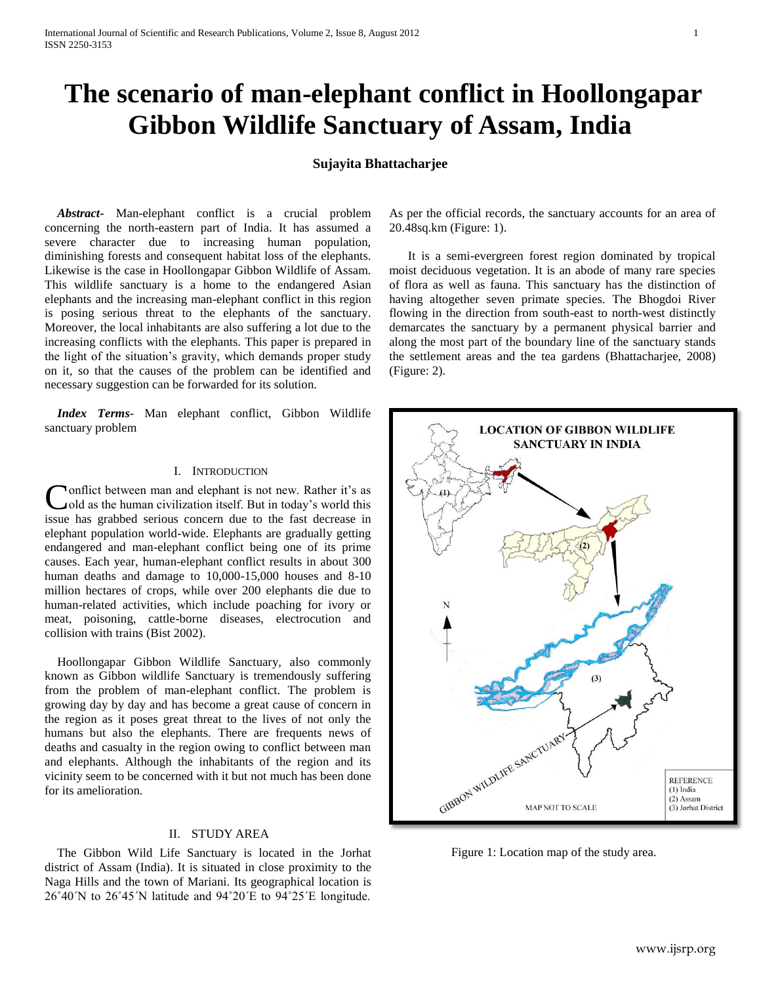# **The scenario of man-elephant conflict in Hoollongapar Gibbon Wildlife Sanctuary of Assam, India**

# **Sujayita Bhattacharjee**

 *Abstract***-** Man-elephant conflict is a crucial problem concerning the north-eastern part of India. It has assumed a severe character due to increasing human population, diminishing forests and consequent habitat loss of the elephants. Likewise is the case in Hoollongapar Gibbon Wildlife of Assam. This wildlife sanctuary is a home to the endangered Asian elephants and the increasing man-elephant conflict in this region is posing serious threat to the elephants of the sanctuary. Moreover, the local inhabitants are also suffering a lot due to the increasing conflicts with the elephants. This paper is prepared in the light of the situation's gravity, which demands proper study on it, so that the causes of the problem can be identified and necessary suggestion can be forwarded for its solution.

 *Index Terms*- Man elephant conflict, Gibbon Wildlife sanctuary problem

# I. INTRODUCTION

onflict between man and elephant is not new. Rather it's as old as the human civilization itself. But in today's world this Conflict between man and elephant is not new. Rather it's as old as the human civilization itself. But in today's world this issue has grabbed serious concern due to the fast decrease in elephant population world-wide. Elephants are gradually getting endangered and man-elephant conflict being one of its prime causes. Each year, human-elephant conflict results in about 300 human deaths and damage to 10,000-15,000 houses and 8-10 million hectares of crops, while over 200 elephants die due to human-related activities, which include poaching for ivory or meat, poisoning, cattle-borne diseases, electrocution and collision with trains (Bist 2002).

 Hoollongapar Gibbon Wildlife Sanctuary, also commonly known as Gibbon wildlife Sanctuary is tremendously suffering from the problem of man-elephant conflict. The problem is growing day by day and has become a great cause of concern in the region as it poses great threat to the lives of not only the humans but also the elephants. There are frequents news of deaths and casualty in the region owing to conflict between man and elephants. Although the inhabitants of the region and its vicinity seem to be concerned with it but not much has been done for its amelioration.

## II. STUDY AREA

 The Gibbon Wild Life Sanctuary is located in the Jorhat district of Assam (India). It is situated in close proximity to the Naga Hills and the town of Mariani. Its geographical location is 26˚40´N to 26˚45´N latitude and 94˚20´E to 94˚25´E longitude.

As per the official records, the sanctuary accounts for an area of 20.48sq.km (Figure: 1).

 It is a semi-evergreen forest region dominated by tropical moist deciduous vegetation. It is an abode of many rare species of flora as well as fauna. This sanctuary has the distinction of having altogether seven primate species. The Bhogdoi River flowing in the direction from south-east to north-west distinctly demarcates the sanctuary by a permanent physical barrier and along the most part of the boundary line of the sanctuary stands the settlement areas and the tea gardens (Bhattacharjee, 2008) (Figure: 2).



Figure 1: Location map of the study area.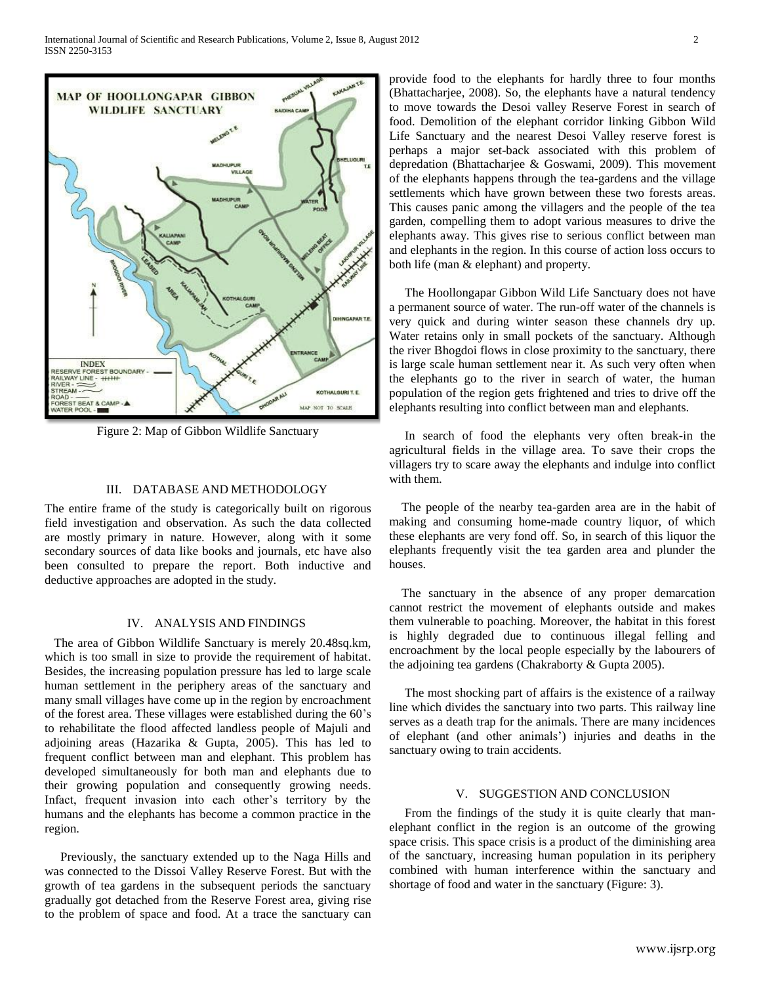

Figure 2: Map of Gibbon Wildlife Sanctuary

#### III. DATABASE AND METHODOLOGY

The entire frame of the study is categorically built on rigorous field investigation and observation. As such the data collected are mostly primary in nature. However, along with it some secondary sources of data like books and journals, etc have also been consulted to prepare the report. Both inductive and deductive approaches are adopted in the study.

# IV. ANALYSIS AND FINDINGS

 The area of Gibbon Wildlife Sanctuary is merely 20.48sq.km, which is too small in size to provide the requirement of habitat. Besides, the increasing population pressure has led to large scale human settlement in the periphery areas of the sanctuary and many small villages have come up in the region by encroachment of the forest area. These villages were established during the 60's to rehabilitate the flood affected landless people of Majuli and adjoining areas (Hazarika & Gupta, 2005). This has led to frequent conflict between man and elephant. This problem has developed simultaneously for both man and elephants due to their growing population and consequently growing needs. Infact, frequent invasion into each other's territory by the humans and the elephants has become a common practice in the region.

 Previously, the sanctuary extended up to the Naga Hills and was connected to the Dissoi Valley Reserve Forest. But with the growth of tea gardens in the subsequent periods the sanctuary gradually got detached from the Reserve Forest area, giving rise to the problem of space and food. At a trace the sanctuary can provide food to the elephants for hardly three to four months (Bhattacharjee, 2008). So, the elephants have a natural tendency to move towards the Desoi valley Reserve Forest in search of food. Demolition of the elephant corridor linking Gibbon Wild Life Sanctuary and the nearest Desoi Valley reserve forest is perhaps a major set-back associated with this problem of depredation (Bhattacharjee & Goswami, 2009). This movement of the elephants happens through the tea-gardens and the village settlements which have grown between these two forests areas. This causes panic among the villagers and the people of the tea garden, compelling them to adopt various measures to drive the elephants away. This gives rise to serious conflict between man and elephants in the region. In this course of action loss occurs to both life (man & elephant) and property.

 The Hoollongapar Gibbon Wild Life Sanctuary does not have a permanent source of water. The run-off water of the channels is very quick and during winter season these channels dry up. Water retains only in small pockets of the sanctuary. Although the river Bhogdoi flows in close proximity to the sanctuary, there is large scale human settlement near it. As such very often when the elephants go to the river in search of water, the human population of the region gets frightened and tries to drive off the elephants resulting into conflict between man and elephants.

 In search of food the elephants very often break-in the agricultural fields in the village area. To save their crops the villagers try to scare away the elephants and indulge into conflict with them.

 The people of the nearby tea-garden area are in the habit of making and consuming home-made country liquor, of which these elephants are very fond off. So, in search of this liquor the elephants frequently visit the tea garden area and plunder the houses.

 The sanctuary in the absence of any proper demarcation cannot restrict the movement of elephants outside and makes them vulnerable to poaching. Moreover, the habitat in this forest is highly degraded due to continuous illegal felling and encroachment by the local people especially by the labourers of the adjoining tea gardens (Chakraborty & Gupta 2005).

 The most shocking part of affairs is the existence of a railway line which divides the sanctuary into two parts. This railway line serves as a death trap for the animals. There are many incidences of elephant (and other animals') injuries and deaths in the sanctuary owing to train accidents.

# V. SUGGESTION AND CONCLUSION

 From the findings of the study it is quite clearly that manelephant conflict in the region is an outcome of the growing space crisis. This space crisis is a product of the diminishing area of the sanctuary, increasing human population in its periphery combined with human interference within the sanctuary and shortage of food and water in the sanctuary (Figure: 3).